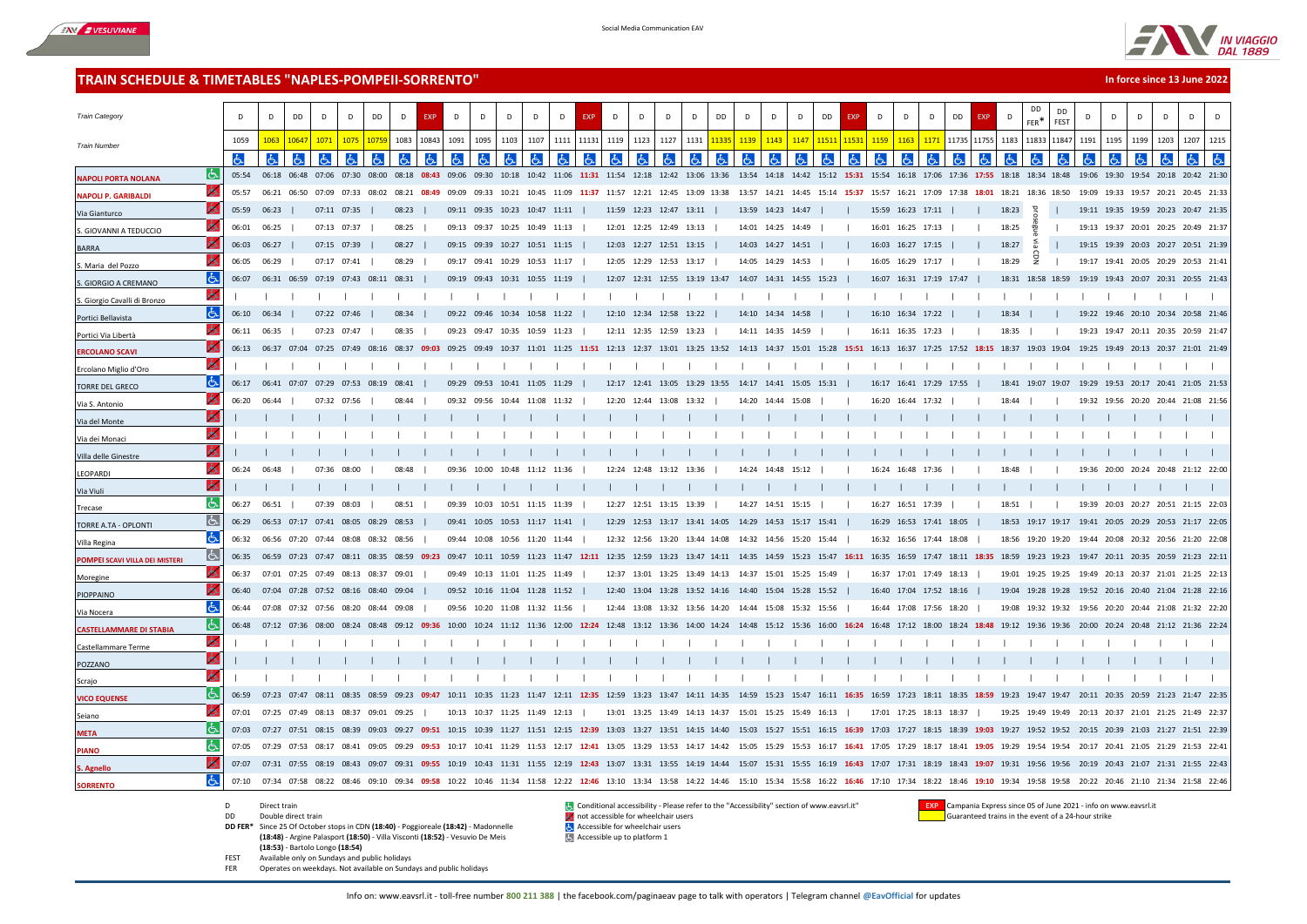



**In force since 13 June 2022**

## **TRAIN SCHEDULE & TIMETABLES "NAPLES-POMPEII-SORRENTO"**

| <b>Train Category</b>          |           | D           | D                                             | DD    | D                 | D                 | DD    | D                                                                                                                 | <b>EXP</b> | D           | D                             | D       | D           | D           | <b>EXP</b> | $\mathsf{D}$ | D                                                                                         | D     | D           | DD    | $\mathsf{D}$      | D                 | D                       | DD                                  | <b>EXP</b> | D                 | D                 | D<br>D <sub>D</sub>                                                                                                                                                                                                             | <b>EXP</b>  | D     | DD<br>FFR <sup>*</sup> | <b>DD</b><br>FEST | D     | D     | D                                                           | D    | D           |  |
|--------------------------------|-----------|-------------|-----------------------------------------------|-------|-------------------|-------------------|-------|-------------------------------------------------------------------------------------------------------------------|------------|-------------|-------------------------------|---------|-------------|-------------|------------|--------------|-------------------------------------------------------------------------------------------|-------|-------------|-------|-------------------|-------------------|-------------------------|-------------------------------------|------------|-------------------|-------------------|---------------------------------------------------------------------------------------------------------------------------------------------------------------------------------------------------------------------------------|-------------|-------|------------------------|-------------------|-------|-------|-------------------------------------------------------------|------|-------------|--|
| <b>Train Number</b>            |           | 1059        | 1063                                          | 10647 | 1071              | 1075              | 1075  | 1083                                                                                                              | 10843      | 1091        | 1095                          | 1103    | 1107        | 1111        | 11131      | 1119         | 1123                                                                                      | 1127  | 1131        |       | 1139              | 1143              | 1147                    | 1151                                | 1153       | 1159              | 1163              | 1171                                                                                                                                                                                                                            | 11735 11755 | 1183  | 11833                  | 11847             | 1191  | 1195  | 1199                                                        | 1203 | 1207 1215   |  |
|                                |           | d           | ය                                             |       | ۱Ġ                | lЬ                |       |                                                                                                                   | ld.        |             | lЬ.                           | රූ      |             |             | lЬ         |              | රූ                                                                                        |       |             |       |                   |                   | lЬ                      |                                     |            |                   |                   |                                                                                                                                                                                                                                 |             |       |                        |                   |       | હ્ય   |                                                             |      |             |  |
| <b>NAPOLI PORTA NOLANA</b>     | IĞ.       | 05:54       |                                               |       | 06:18 06:48 07:06 | 07:30 08:00       |       |                                                                                                                   |            |             |                               |         |             |             |            |              |                                                                                           |       |             |       |                   |                   |                         |                                     |            |                   |                   | 08:18 08:43 09:06 09:30 10:18 10:42 11:06 11:31 11:54 12:18 12:42 13:06 13:36 13:54 14:18 14:42 15:12 15:31 15:54 16:18 17:06 17:36 17:55 18:18 18:34 18:48                                                                     |             |       |                        |                   |       |       | 19:06 19:30 19:54 20:18 20:42 21:30                         |      |             |  |
| <b>NAPOLI P. GARIBALDI</b>     | o         | 05:57       | 06:21                                         | 06:50 | 07:09             | 07:33             | 08:02 | 08:21                                                                                                             | 08:49      | 09:09       | 09:33                         | 10:21   |             | 10:45 11:09 | 11:37      |              | 11:57 12:21 12:45 13:09 13:38                                                             |       |             |       |                   |                   | 13:57 14:21 14:45       | 15:14 15:37 15:57                   |            |                   |                   | 16:21 17:09 17:38                                                                                                                                                                                                               | 18:01       | 18:21 | 18:36 18:50            |                   | 19:09 |       | 19:33 19:57 20:21 20:45 21:33                               |      |             |  |
| Via Gianturco                  |           | 05:59 06:23 |                                               |       | 07:11 07:35       |                   |       | 08:23                                                                                                             |            |             | 09:11 09:35 10:23 10:47 11:11 |         |             |             |            |              | 11:59 12:23 12:47 13:11                                                                   |       |             |       |                   | 13:59 14:23 14:47 |                         |                                     |            | 15:59 16:23 17:11 |                   |                                                                                                                                                                                                                                 |             | 18:23 | 马                      |                   |       |       | 19:11 19:35 19:59 20:23 20:47 21:35                         |      |             |  |
| S. GIOVANNI A TEDUCCIO         |           | 06:01       | 06:25                                         |       | 07:13 07:37       |                   |       | 08:25                                                                                                             |            |             | 09:13 09:37 10:25 10:49 11:13 |         |             |             |            |              | 12:01 12:25 12:49 13:13                                                                   |       |             |       |                   | 14:01 14:25 14:49 |                         |                                     |            | 16:01 16:25 17:13 |                   |                                                                                                                                                                                                                                 |             | 18:25 |                        |                   |       |       | 19:13 19:37 20:01 20:25 20:49 21:37                         |      |             |  |
| <b>BARRA</b>                   |           |             | 06:03 06:27                                   |       | 07:15 07:39       |                   |       | 08:27                                                                                                             |            |             | 09:15 09:39 10:27 10:51 11:15 |         |             |             |            |              | 12:03 12:27 12:51 13:15                                                                   |       |             |       |                   |                   | 14:03 14:27 14:51       |                                     |            | 16:03 16:27 17:15 |                   |                                                                                                                                                                                                                                 |             | 18:27 | 즒                      |                   |       |       | 19:15 19:39 20:03 20:27 20:51 21:39                         |      |             |  |
| Maria del Pozzo                |           | 06:05       | 06:29                                         |       | 07:17 07:41       |                   |       | 08:29                                                                                                             |            |             | 09:17 09:41 10:29 10:53       |         |             | 11:17       |            |              | 12:05 12:29 12:53 13:17                                                                   |       |             |       |                   | 14:05 14:29 14:53 |                         |                                     |            |                   | 16:05 16:29 17:17 |                                                                                                                                                                                                                                 |             | 18:29 | 5                      |                   |       |       | 19:17 19:41 20:05 20:29 20:53 21:4                          |      |             |  |
| <b>GIORGIO A CREMANO</b>       | lė.       | 06:07       | 06:31 06:59 07:19 07:43 08:11 08:31           |       |                   |                   |       |                                                                                                                   |            |             | 09:19 09:43 10:31 10:55 11:19 |         |             |             |            |              | 12:07 12:31 12:55 13:19 13:47                                                             |       |             |       |                   |                   | 14:07 14:31 14:55 15:23 |                                     |            |                   |                   | 16:07 16:31 17:19 17:47                                                                                                                                                                                                         |             |       |                        |                   |       |       | 18:31 18:58 18:59 19:19 19:43 20:07 20:31 20:55 21:43       |      |             |  |
| S. Giorgio Cavalli di Bronzo   | ó.        |             |                                               |       |                   |                   |       |                                                                                                                   |            |             |                               |         |             |             |            |              |                                                                                           |       |             |       |                   |                   |                         |                                     |            |                   |                   |                                                                                                                                                                                                                                 |             |       |                        |                   |       |       |                                                             |      |             |  |
| Portici Bellavista             | l6.       | 06:10       | 06:34                                         |       | 07:22 07:46       |                   |       | 08:34                                                                                                             |            |             | 09:22 09:46 10:34             |         | 10:58 11:22 |             |            |              | 12:10 12:34 12:58 13:22                                                                   |       |             |       | 14:10 14:34       |                   | 14:58                   |                                     |            | 16:10 16:34 17:22 |                   |                                                                                                                                                                                                                                 |             | 18:34 |                        |                   |       |       | 19:22 19:46 20:10 20:34 20:58 21:46                         |      |             |  |
| Portici Via Libertà            |           | 06:11       | 06:35                                         |       | 07:23 07:47       |                   |       | 08:35                                                                                                             |            |             | 09:23 09:47 10:35 10:59 11:23 |         |             |             |            |              | 12:11 12:35 12:59 13:23                                                                   |       |             |       | 14:11 14:35 14:59 |                   |                         |                                     |            | 16:11 16:35 17:23 |                   |                                                                                                                                                                                                                                 |             | 18:35 |                        |                   |       |       | 19:23 19:47 20:11 20:35 20:59 21:47                         |      |             |  |
| <b>ERCOLANO SCAVI</b>          |           |             |                                               |       |                   |                   |       | 06:13 06:37 07:04 07:25 07:49 08:16 08:37 09:03 09:25 09:49 10:37 11:01 11:25 11:51 12:13 12:37 13:01 13:25 13:52 |            |             |                               |         |             |             |            |              |                                                                                           |       |             |       |                   |                   |                         |                                     |            |                   |                   | 14:13 14:37 15:01 15:28 15:51 16:13 16:37 17:25 17:52                                                                                                                                                                           |             |       |                        |                   |       |       | 18:15 18:37 19:03 19:04 19:25 19:49 20:13 20:37 21:01 21:49 |      |             |  |
| Ercolano Miglio d'Oro          | 6.        |             |                                               |       |                   |                   |       |                                                                                                                   |            |             |                               |         |             |             |            |              |                                                                                           |       |             |       |                   |                   |                         |                                     |            |                   |                   |                                                                                                                                                                                                                                 |             |       |                        |                   |       |       |                                                             |      |             |  |
| <b>TORRE DEL GRECO</b>         | l6.       | 06:17       | 06:41 07:07 07:29 07:53 08:19                 |       |                   |                   |       | 08:41                                                                                                             |            |             | 09:29 09:53 10:41 11:05 11:29 |         |             |             |            |              | 12:17 12:41 13:05 13:29 13:55                                                             |       |             |       |                   |                   | 14:17 14:41 15:05 15:31 |                                     |            |                   |                   | 16:17 16:41 17:29 17:55                                                                                                                                                                                                         |             |       | 18:41 19:07 19:07      |                   |       |       | 19:29 19:53 20:17 20:41 21:05 21:53                         |      |             |  |
| Via S. Antonio                 | O         | 06:20       | 06:44                                         |       | 07:32 07:56       |                   |       | 08:44                                                                                                             |            | 09:32 09:56 |                               | 10:44   | 11:08       | 11:32       |            |              | 12:20 12:44 13:08                                                                         |       | 13:32       |       | 14:20             | 14:44             | 15:08                   |                                     |            | 16:20 16:44 17:32 |                   |                                                                                                                                                                                                                                 |             | 18:44 |                        |                   |       |       | 19:32 19:56 20:20 20:44 21:08 21:56                         |      |             |  |
| Via del Monte                  |           |             |                                               |       |                   |                   |       |                                                                                                                   |            |             |                               |         |             |             |            |              |                                                                                           |       |             |       |                   |                   |                         |                                     |            |                   |                   |                                                                                                                                                                                                                                 |             |       |                        |                   |       |       |                                                             |      |             |  |
| Via dei Monaci                 |           |             |                                               |       |                   |                   |       |                                                                                                                   |            |             |                               |         |             |             |            |              |                                                                                           |       |             |       |                   |                   |                         |                                     |            |                   |                   |                                                                                                                                                                                                                                 |             |       |                        |                   |       |       |                                                             |      |             |  |
| Villa delle Ginestre           | lÒ.       |             |                                               |       |                   |                   |       |                                                                                                                   |            |             |                               |         |             |             |            |              |                                                                                           |       |             |       |                   |                   |                         |                                     |            |                   |                   |                                                                                                                                                                                                                                 |             |       |                        |                   |       |       |                                                             |      |             |  |
| LEOPARDI                       |           | 06:24       | 06:48                                         |       | 07:36             |                   |       | 08.48                                                                                                             |            | 09:36       | 10:00                         | $10-48$ |             |             |            | 12:24        | 12:48                                                                                     |       |             |       | 14.24             |                   |                         |                                     |            | 16:24             |                   |                                                                                                                                                                                                                                 |             | 18.48 |                        |                   | 19:36 | 20:00 |                                                             |      | 21:12 22:00 |  |
| Via Viuli                      | l6.       |             |                                               |       |                   |                   |       |                                                                                                                   |            |             |                               |         |             |             |            |              |                                                                                           |       |             |       |                   |                   |                         |                                     |            |                   |                   |                                                                                                                                                                                                                                 |             |       |                        |                   |       |       |                                                             |      |             |  |
| Trecase                        | よ         | 06:27       | 06:51                                         |       | 07:39             | 08:03             |       | 08:51                                                                                                             |            |             | 09:39 10:03 10:51 11:15       |         |             | 11:39       |            |              | 12:27 12:51 13:15 13:39                                                                   |       |             |       |                   | 14:27 14:51 15:15 |                         |                                     |            |                   | 16:27 16:51 17:39 |                                                                                                                                                                                                                                 |             | 18:51 |                        |                   |       |       | 19:39 20:03 20:27 20:51 21:15 22:03                         |      |             |  |
| TORRE A.TA - OPLONTI           | ló.       |             | 06:29   06:53   07:17   07:41   08:05   08:29 |       |                   |                   |       | 08:53                                                                                                             |            |             | 09:41 10:05 10:53 11:17 11:41 |         |             |             |            |              | 12:29 12:53 13:17 13:41 14:05                                                             |       |             |       |                   |                   | 14:29 14:53 15:17 15:41 |                                     |            |                   |                   | 16:29 16:53 17:41 18:05                                                                                                                                                                                                         |             |       | 18:53 19:17 19:17      |                   |       |       | 19:41 20:05 20:29 20:53 21:17 22:05                         |      |             |  |
| Villa Regina                   | よ         | 06:32       | 06:56 07:20 07:44 08:08                       |       |                   |                   | 08:32 | 08:56                                                                                                             |            |             | 09:44 10:08 10:56 11:20       |         |             | 11:44       |            |              | 12:32 12:56 13:20 13:44 14:08                                                             |       |             |       | 14:32             | 14:56             | 15:20                   | 15:44                               |            |                   |                   | 16:32 16:56 17:44 18:08                                                                                                                                                                                                         |             |       | 18:56 19:20 19:20      |                   |       |       | 19:44 20:08 20:32 20:56 21:20 22:08                         |      |             |  |
| POMPEI SCAVI VILLA DEI MISTERI | <u> t</u> | 06:35       | 06:59 07:23 07:47 08:11 08:35                 |       |                   |                   |       | 08:59 09:23                                                                                                       |            |             |                               |         |             |             |            |              | 09:47 10:11 10:59 11:23 11:47 12:11 12:35 12:59 13:23 13:47 14:11 14:35 14:59 15:23 15:47 |       |             |       |                   |                   |                         |                                     |            |                   |                   | 16:11 16:35 16:59 17:47 18:11 18:35 18:59 19:23 19:23 19:47 20:11 20:35 20:59 21:23 22:11                                                                                                                                       |             |       |                        |                   |       |       |                                                             |      |             |  |
| Moregine                       |           | 06:37       | 07:01 07:25 07:49 08:13 08:37 09:01           |       |                   |                   |       |                                                                                                                   |            |             | 09:49 10:13 11:01 11:25 11:49 |         |             |             |            |              | 12:37 13:01 13:25 13:49 14:13 14:37 15:01 15:25 15:49                                     |       |             |       |                   |                   |                         |                                     |            |                   |                   | 16:37 17:01 17:49 18:13                                                                                                                                                                                                         |             |       |                        |                   |       |       | 19:01 19:25 19:25 19:49 20:13 20:37 21:01 21:25 22:13       |      |             |  |
| PIOPPAINO                      |           | 06:40       | 07:04 07:28 07:52 08:16 08:40 09:04           |       |                   |                   |       |                                                                                                                   |            |             | 09:52 10:16 11:04 11:28 11:52 |         |             |             |            |              | 12:40 13:04 13:28 13:52 14:16 14:40 15:04 15:28 15:52                                     |       |             |       |                   |                   |                         |                                     |            |                   |                   | 16:40 17:04 17:52 18:16                                                                                                                                                                                                         |             |       |                        |                   |       |       | 19:04 19:28 19:28 19:52 20:16 20:40 21:04 21:28 22:16       |      |             |  |
| Via Nocera                     | よ         | 06:44       | 07:08 07:32 07:56 08:20 08:44 09:08           |       |                   |                   |       |                                                                                                                   |            |             | 09:56 10:20 11:08 11:32 11:56 |         |             |             |            |              | 12:44 13:08 13:32 13:56 14:20                                                             |       |             |       |                   |                   | 14:44 15:08 15:32 15:56 |                                     |            |                   |                   | 16:44 17:08 17:56 18:20                                                                                                                                                                                                         |             |       |                        |                   |       |       | 19:08 19:32 19:32 19:56 20:20 20:44 21:08 21:32 22:20       |      |             |  |
| <b>CASTELLAMMARE DI STABIA</b> | Iص        |             | 06:48 07:12 07:36                             |       | 08:00             |                   |       |                                                                                                                   |            | 10:00       | 10:24 11:12 11:36             |         |             | 12:00       | 12:24      |              | 12:48 13:12 13:36 14:00                                                                   |       |             | 14:24 | 14:48             | 15:12             | 15:36                   | 16:00                               |            | 16:48             | 17:12 18:00       |                                                                                                                                                                                                                                 |             |       | 19:12 19:36 19:36      |                   | 20:00 |       | 20:24 20:48 21:12 21:36 22:24                               |      |             |  |
| Castellammare Terme            | ь         |             |                                               |       |                   |                   |       |                                                                                                                   |            |             |                               |         |             |             |            |              |                                                                                           |       |             |       |                   |                   |                         |                                     |            |                   |                   |                                                                                                                                                                                                                                 |             |       |                        |                   |       |       |                                                             |      |             |  |
| POZZANO                        | lÒ.       |             |                                               |       |                   |                   |       |                                                                                                                   |            |             |                               |         |             |             |            |              |                                                                                           |       |             |       |                   |                   |                         |                                     |            |                   |                   |                                                                                                                                                                                                                                 |             |       |                        |                   |       |       |                                                             |      |             |  |
| Scrajo                         |           |             |                                               |       |                   |                   |       |                                                                                                                   |            |             |                               |         |             |             |            |              |                                                                                           |       |             |       |                   |                   |                         |                                     |            |                   |                   |                                                                                                                                                                                                                                 |             |       |                        |                   |       |       |                                                             |      |             |  |
| <b>VICO EQUENSE</b>            | [よ        | 06:59       | 07:23                                         | 07.47 |                   |                   |       |                                                                                                                   |            |             |                               |         |             |             |            | 12:59        |                                                                                           |       |             |       |                   |                   |                         |                                     |            |                   |                   |                                                                                                                                                                                                                                 |             |       |                        |                   |       |       |                                                             |      |             |  |
| Seiano                         | 6.        | 07:01       | 07:25 07:49                                   |       | 08:13             | 08:37 09:01 09:25 |       |                                                                                                                   |            |             | 10:13 10:37 11:25 11:49 12:13 |         |             |             |            |              | 13:01 13:25 13:49 14:13 14:37                                                             |       |             |       |                   |                   | 15:01 15:25 15:49 16:13 |                                     |            |                   |                   | 17:01 17:25 18:13 18:37                                                                                                                                                                                                         |             |       | 19:25 19:49 19:49      |                   |       |       | 20:13 20:37 21:01 21:25 21:49 22:37                         |      |             |  |
| <b>META</b>                    | Iь        | 07:03       | 07:27 07:51                                   |       | 08:15             | 08:39             | 09:03 | 09:27                                                                                                             | 09:51      |             |                               |         |             |             |            |              | 10:15 10:39 11:27 11:51 12:15 12:39 13:03 13:27 13:51 14:15 14:40                         |       |             |       |                   |                   |                         | 15:03 15:27 15:51 16:15 16:39 17:03 |            |                   |                   | 17:27 18:15 18:39                                                                                                                                                                                                               | 19:03       |       |                        |                   |       |       | 19:27 19:52 19:52 20:15 20:39 21:03 21:27 21:51 22:39       |      |             |  |
| <b>PIANO</b>                   | ŀБ        | 07:05       | 07:29 07:53                                   |       | 08:17             | 08:41             | 09:05 | 09:29                                                                                                             | 09:53      | 10:17       | 10:41                         | 11:29   | 11:53       | 12:17       | 12:41      | 13:05        | 13:29                                                                                     | 13:53 | 14:17 14:42 |       | 15:05             | 15:29             | 15:53                   | 16:17                               | 16:41      | 17:05             | 17:29             | 18:17<br>18:41                                                                                                                                                                                                                  | 19:05       | 19:29 | 19:54 19:54            |                   |       |       | 20:17 20:41 21:05 21:29 21:53 22:41                         |      |             |  |
| S. Agnello                     |           | 07:07       | 07:31 07:55 08:19 08:43 09:07                 |       |                   |                   |       | 09:31                                                                                                             | 09:55      | 10:19       | 10:43                         | 11:31   | 11:55 12:19 |             |            | 12:43 13:07  | 13:31 13:55 14:19 14:44                                                                   |       |             |       | 15:07             |                   | 15:31 15:55             | 16:19                               | 16:43      | 17:07             |                   | 18:19<br>18:43                                                                                                                                                                                                                  | 19:07       |       | 19:31 19:56 19:56      |                   |       |       | 20:19 20:43 21:07 21:31 21:55 22:43                         |      |             |  |
| <b>SORRENTO</b>                | Ġ.        |             |                                               |       |                   |                   |       |                                                                                                                   |            |             |                               |         |             |             |            |              |                                                                                           |       |             |       |                   |                   |                         |                                     |            |                   |                   | 07:10 07:34 07:58 08:22 08:46 09:10 09:34 09:58 10:22 10:46 11:34 11:58 12:22 12:46 13:10 13:34 13:58 14:22 14:46 15:10 15:34 15:58 16:22 16:46 17:10 17:34 18:22 18:46 19:10 19:34 19:58 19:58 20:22 20:46 21:10 21:34 21:58 2 |             |       |                        |                   |       |       |                                                             |      |             |  |

- 
- 
- **DD FER\*** Since 25 Of October stops in CDN **(18:40)** Poggioreale **(18:42)** Madonnelle **Computer Constant Since 25 Of October stops in CDN (18:40)** Poggioreale **(18:42)** Madonnelle **(18:48)** - Argine Palasport **(18:50)** - Villa Visconti **(18:52)** - Vesuvio De Meis
- **(18:53)**  Bartolo Longo **(18:54)**
- 
- FEST Available only on Sundays and public holidays Operates on weekdays. Not available on Sundays and public holidays

D Direct train Conditional accessibility - Please refer to the "Accessibility" section of www.eavsrl.it" **EXP** Campania Express since 05 of June 2021 - info on www.eavsrl.it<br>D Double direct train and the event of a 24-hour **DE** not accessible for wheelchair users **Guaranteed trains in the event of a 24-hour strike** and the event of a 24-hour strike trains in the event of a 24-hour strike

Accessible up to platform 1